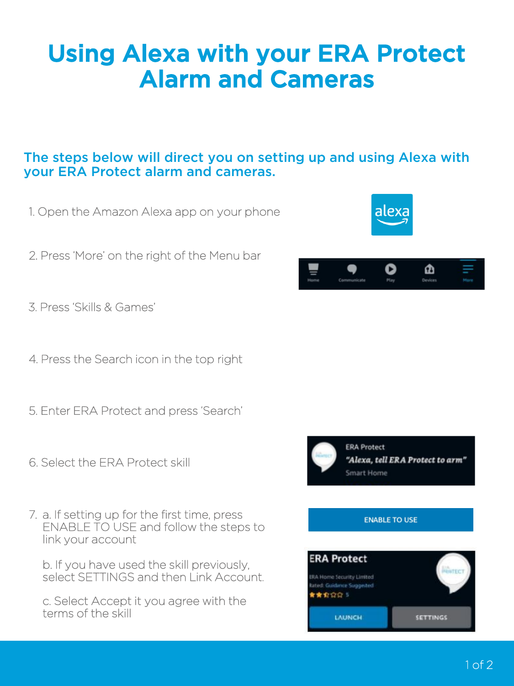# Using Alexa with your ERA Protect Alarm and Cameras

### The steps below will direct you on setting up and using Alexa with your ERA Protect alarm and cameras.

- 1. Open the Amazon Alexa app on your phone
- 2. Press 'More' on the right of the Menu bar
- 3. Press 'Skills & Games'
- 4. Press the Search icon in the top right
- 5. Enter ERA Protect and press 'Search'
- 6. Select the ERA Protect skill
- 7. a. If setting up for the first time, press ENABLE TO USE and follow the steps to link your account

b. If you have used the skill previously, select SETTINGS and then Link Account.

c. Select Accept it you agree with the terms of the skill



| Home | Communicate | Play | Devi<br>ices |  |
|------|-------------|------|--------------|--|